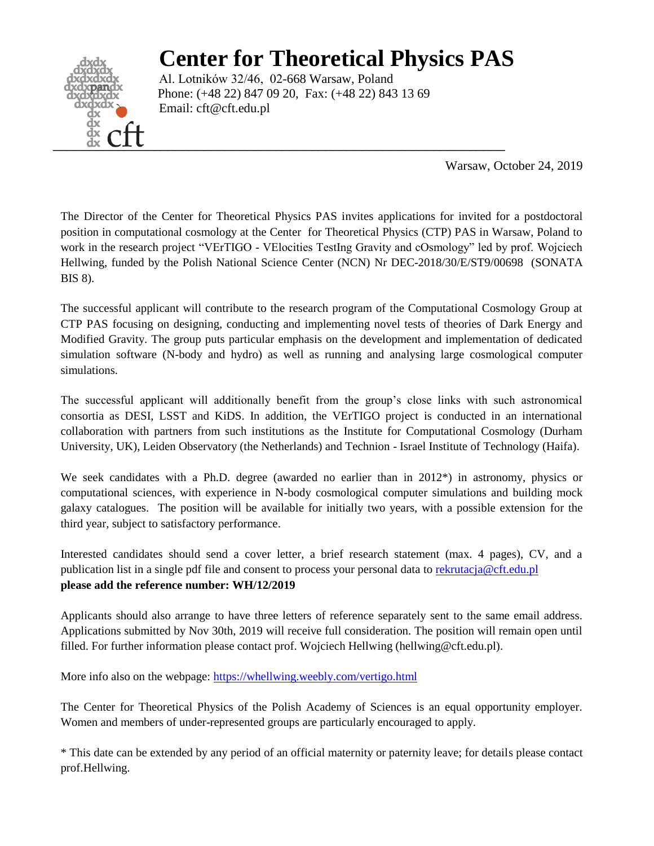# **Center for Theoretical Physics PAS**



Al. Lotników 32/46, 02-668 Warsaw, Poland Phone: (+48 22) 847 09 20, Fax: (+48 22) 843 13 69 Email: cft@cft.edu.pl

Warsaw, October 24, 2019

The Director of the Center for Theoretical Physics PAS invites applications for invited for a postdoctoral position in computational cosmology at the Center for Theoretical Physics (CTP) PAS in Warsaw, Poland to work in the research project "VErTIGO - VElocities TestIng Gravity and cOsmology" led by prof. Wojciech Hellwing, funded by the Polish National Science Center (NCN) Nr DEC-2018/30/E/ST9/00698 (SONATA BIS 8).

The successful applicant will contribute to the research program of the Computational Cosmology Group at CTP PAS focusing on designing, conducting and implementing novel tests of theories of Dark Energy and Modified Gravity. The group puts particular emphasis on the development and implementation of dedicated simulation software (N-body and hydro) as well as running and analysing large cosmological computer simulations.

The successful applicant will additionally benefit from the group's close links with such astronomical consortia as DESI, LSST and KiDS. In addition, the VErTIGO project is conducted in an international collaboration with partners from such institutions as the Institute for Computational Cosmology (Durham University, UK), Leiden Observatory (the Netherlands) and Technion - Israel Institute of Technology (Haifa).

We seek candidates with a Ph.D. degree (awarded no earlier than in 2012<sup>\*</sup>) in astronomy, physics or computational sciences, with experience in N-body cosmological computer simulations and building mock galaxy catalogues. The position will be available for initially two years, with a possible extension for the third year, subject to satisfactory performance.

Interested candidates should send a cover letter, a brief research statement (max. 4 pages), CV, and a publication list in a single pdf file and consent to process your personal data to [rekrutacja@cft.edu.pl](mailto:rekrutacja@cft.edu.pl) **please add the reference number: WH/12/2019**

Applicants should also arrange to have three letters of reference separately sent to the same email address. Applications submitted by Nov 30th, 2019 will receive full consideration. The position will remain open until filled. For further information please contact prof. Wojciech Hellwing (hellwing@cft.edu.pl).

More info also on the webpage:<https://whellwing.weebly.com/vertigo.html>

The Center for Theoretical Physics of the Polish Academy of Sciences is an equal opportunity employer. Women and members of under-represented groups are particularly encouraged to apply.

\* This date can be extended by any period of an official maternity or paternity leave; for details please contact prof.Hellwing.